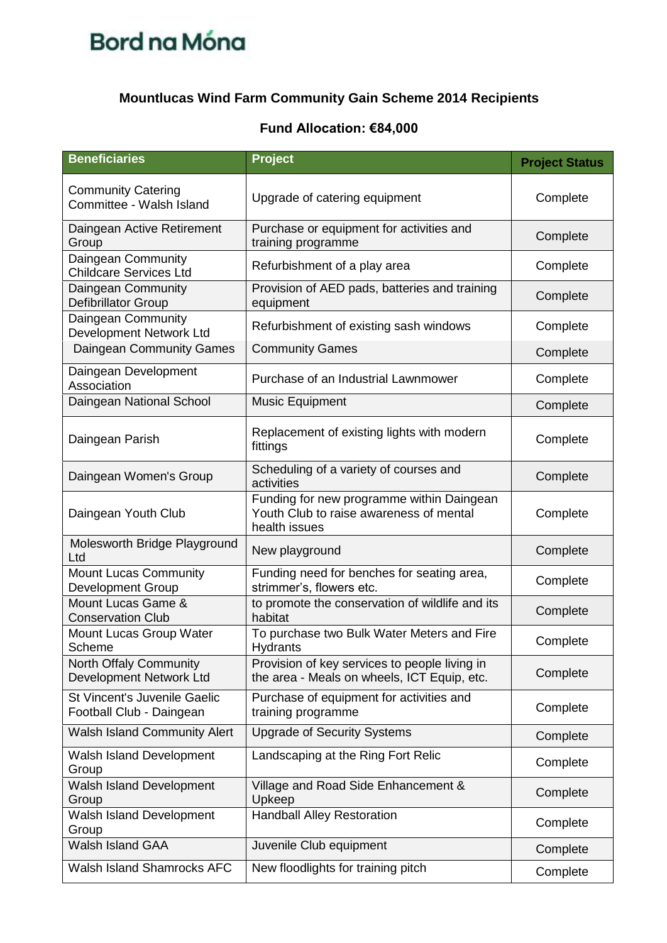## **Mountlucas Wind Farm Community Gain Scheme 2014 Recipients**

| <b>Beneficiaries</b>                                     | <b>Project</b>                                                                                        | <b>Project Status</b> |
|----------------------------------------------------------|-------------------------------------------------------------------------------------------------------|-----------------------|
| <b>Community Catering</b><br>Committee - Walsh Island    | Upgrade of catering equipment                                                                         | Complete              |
| Daingean Active Retirement<br>Group                      | Purchase or equipment for activities and<br>training programme                                        | Complete              |
| Daingean Community<br><b>Childcare Services Ltd</b>      | Refurbishment of a play area                                                                          | Complete              |
| Daingean Community<br>Defibrillator Group                | Provision of AED pads, batteries and training<br>equipment                                            | Complete              |
| Daingean Community<br>Development Network Ltd            | Refurbishment of existing sash windows                                                                | Complete              |
| <b>Daingean Community Games</b>                          | <b>Community Games</b>                                                                                | Complete              |
| Daingean Development<br>Association                      | Purchase of an Industrial Lawnmower                                                                   | Complete              |
| Daingean National School                                 | <b>Music Equipment</b>                                                                                | Complete              |
| Daingean Parish                                          | Replacement of existing lights with modern<br>fittings                                                | Complete              |
| Daingean Women's Group                                   | Scheduling of a variety of courses and<br>activities                                                  | Complete              |
| Daingean Youth Club                                      | Funding for new programme within Daingean<br>Youth Club to raise awareness of mental<br>health issues | Complete              |
| Molesworth Bridge Playground<br>Ltd                      | New playground                                                                                        | Complete              |
| <b>Mount Lucas Community</b><br><b>Development Group</b> | Funding need for benches for seating area,<br>strimmer's, flowers etc.                                | Complete              |
| Mount Lucas Game &<br><b>Conservation Club</b>           | to promote the conservation of wildlife and its<br>habitat                                            | Complete              |
| Mount Lucas Group Water<br>Scheme                        | To purchase two Bulk Water Meters and Fire<br><b>Hydrants</b>                                         | Complete              |
| <b>North Offaly Community</b><br>Development Network Ltd | Provision of key services to people living in<br>the area - Meals on wheels, ICT Equip, etc.          | Complete              |
| St Vincent's Juvenile Gaelic<br>Football Club - Daingean | Purchase of equipment for activities and<br>training programme                                        | Complete              |
| <b>Walsh Island Community Alert</b>                      | <b>Upgrade of Security Systems</b>                                                                    | Complete              |
| Walsh Island Development<br>Group                        | Landscaping at the Ring Fort Relic                                                                    | Complete              |
| Walsh Island Development<br>Group                        | Village and Road Side Enhancement &<br>Upkeep                                                         | Complete              |
| Walsh Island Development<br>Group                        | <b>Handball Alley Restoration</b>                                                                     | Complete              |
| Walsh Island GAA                                         | Juvenile Club equipment                                                                               | Complete              |
| <b>Walsh Island Shamrocks AFC</b>                        | New floodlights for training pitch                                                                    | Complete              |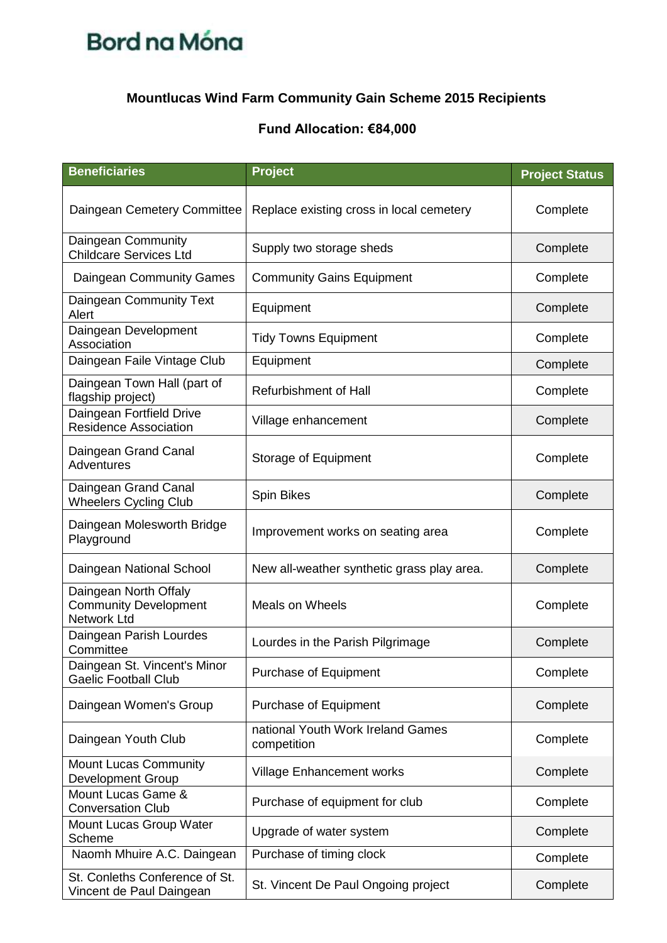## **Mountlucas Wind Farm Community Gain Scheme 2015 Recipients**

| <b>Beneficiaries</b>                                                        | <b>Project</b>                                   | <b>Project Status</b> |
|-----------------------------------------------------------------------------|--------------------------------------------------|-----------------------|
| Daingean Cemetery Committee                                                 | Replace existing cross in local cemetery         | Complete              |
| Daingean Community<br><b>Childcare Services Ltd</b>                         | Supply two storage sheds                         | Complete              |
| Daingean Community Games                                                    | <b>Community Gains Equipment</b>                 | Complete              |
| Daingean Community Text<br>Alert                                            | Equipment                                        | Complete              |
| Daingean Development<br>Association                                         | <b>Tidy Towns Equipment</b>                      | Complete              |
| Daingean Faile Vintage Club                                                 | Equipment                                        | Complete              |
| Daingean Town Hall (part of<br>flagship project)                            | <b>Refurbishment of Hall</b>                     | Complete              |
| Daingean Fortfield Drive<br><b>Residence Association</b>                    | Village enhancement                              | Complete              |
| Daingean Grand Canal<br>Adventures                                          | Storage of Equipment                             | Complete              |
| Daingean Grand Canal<br><b>Wheelers Cycling Club</b>                        | Spin Bikes                                       | Complete              |
| Daingean Molesworth Bridge<br>Playground                                    | Improvement works on seating area                | Complete              |
| Daingean National School                                                    | New all-weather synthetic grass play area.       | Complete              |
| Daingean North Offaly<br><b>Community Development</b><br><b>Network Ltd</b> | Meals on Wheels                                  | Complete              |
| Daingean Parish Lourdes<br>Committee                                        | Lourdes in the Parish Pilgrimage                 | Complete              |
| Daingean St. Vincent's Minor<br><b>Gaelic Football Club</b>                 | Purchase of Equipment                            | Complete              |
| Daingean Women's Group                                                      | <b>Purchase of Equipment</b>                     | Complete              |
| Daingean Youth Club                                                         | national Youth Work Ireland Games<br>competition | Complete              |
| <b>Mount Lucas Community</b><br><b>Development Group</b>                    | Village Enhancement works                        | Complete              |
| Mount Lucas Game &<br><b>Conversation Club</b>                              | Purchase of equipment for club                   | Complete              |
| Mount Lucas Group Water<br>Scheme                                           | Upgrade of water system                          | Complete              |
| Naomh Mhuire A.C. Daingean                                                  | Purchase of timing clock                         | Complete              |
| St. Conleths Conference of St.<br>Vincent de Paul Daingean                  | St. Vincent De Paul Ongoing project              | Complete              |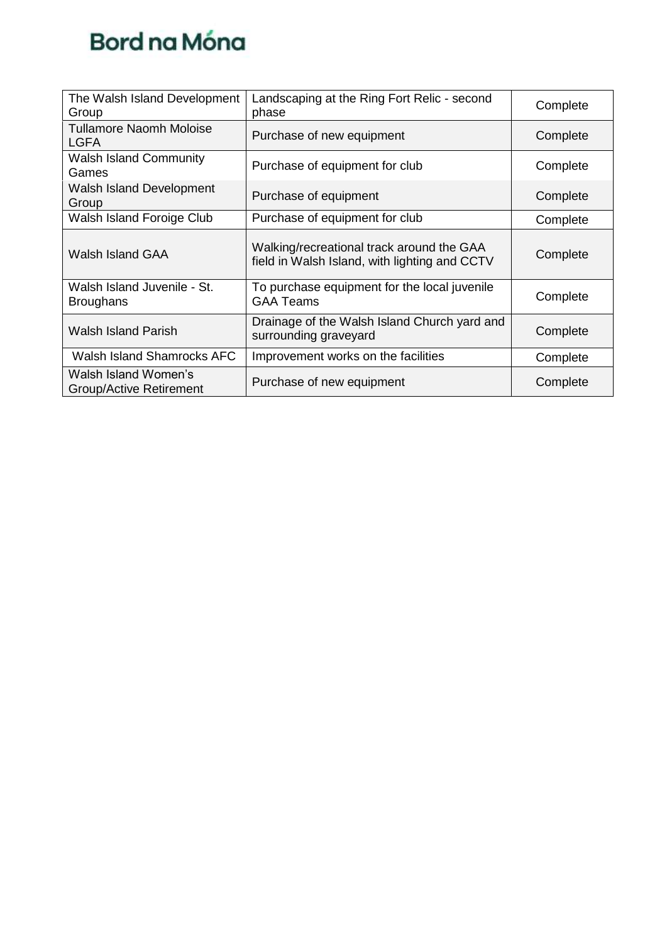| The Walsh Island Development<br>Group                  | Landscaping at the Ring Fort Relic - second<br>phase                                       | Complete |
|--------------------------------------------------------|--------------------------------------------------------------------------------------------|----------|
| <b>Tullamore Naomh Moloise</b><br><b>LGFA</b>          | Purchase of new equipment                                                                  | Complete |
| <b>Walsh Island Community</b><br>Games                 | Purchase of equipment for club                                                             | Complete |
| <b>Walsh Island Development</b><br>Group               | Purchase of equipment                                                                      | Complete |
| Walsh Island Foroige Club                              | Purchase of equipment for club                                                             | Complete |
| Walsh Island GAA                                       | Walking/recreational track around the GAA<br>field in Walsh Island, with lighting and CCTV | Complete |
| Walsh Island Juvenile - St.<br><b>Broughans</b>        | To purchase equipment for the local juvenile<br><b>GAA Teams</b>                           | Complete |
| Walsh Island Parish                                    | Drainage of the Walsh Island Church yard and<br>surrounding graveyard                      | Complete |
| <b>Walsh Island Shamrocks AFC</b>                      | Improvement works on the facilities                                                        | Complete |
| Walsh Island Women's<br><b>Group/Active Retirement</b> | Purchase of new equipment                                                                  | Complete |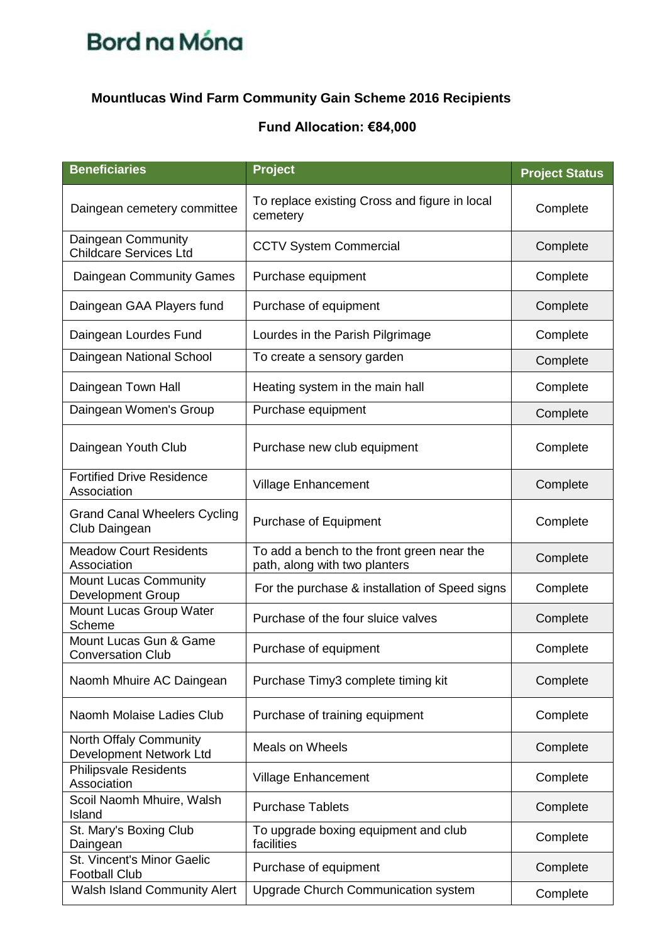### **Mountlucas Wind Farm Community Gain Scheme 2016 Recipients**

| <b>Beneficiaries</b>                                     | Project                                                                     | <b>Project Status</b> |
|----------------------------------------------------------|-----------------------------------------------------------------------------|-----------------------|
| Daingean cemetery committee                              | To replace existing Cross and figure in local<br>cemetery                   | Complete              |
| Daingean Community<br><b>Childcare Services Ltd</b>      | <b>CCTV System Commercial</b>                                               | Complete              |
| Daingean Community Games                                 | Purchase equipment                                                          | Complete              |
| Daingean GAA Players fund                                | Purchase of equipment                                                       | Complete              |
| Daingean Lourdes Fund                                    | Lourdes in the Parish Pilgrimage                                            | Complete              |
| Daingean National School                                 | To create a sensory garden                                                  | Complete              |
| Daingean Town Hall                                       | Heating system in the main hall                                             | Complete              |
| Daingean Women's Group                                   | Purchase equipment                                                          | Complete              |
| Daingean Youth Club                                      | Purchase new club equipment                                                 | Complete              |
| <b>Fortified Drive Residence</b><br>Association          | <b>Village Enhancement</b>                                                  | Complete              |
| <b>Grand Canal Wheelers Cycling</b><br>Club Daingean     | <b>Purchase of Equipment</b>                                                | Complete              |
| <b>Meadow Court Residents</b><br>Association             | To add a bench to the front green near the<br>path, along with two planters | Complete              |
| <b>Mount Lucas Community</b><br><b>Development Group</b> | For the purchase & installation of Speed signs                              | Complete              |
| Mount Lucas Group Water<br>Scheme                        | Purchase of the four sluice valves                                          | Complete              |
| Mount Lucas Gun & Game<br><b>Conversation Club</b>       | Purchase of equipment                                                       | Complete              |
| Naomh Mhuire AC Daingean                                 | Purchase Timy3 complete timing kit                                          | Complete              |
| Naomh Molaise Ladies Club                                | Purchase of training equipment                                              | Complete              |
| <b>North Offaly Community</b><br>Development Network Ltd | <b>Meals on Wheels</b>                                                      | Complete              |
| <b>Philipsvale Residents</b><br>Association              | <b>Village Enhancement</b>                                                  | Complete              |
| Scoil Naomh Mhuire, Walsh<br>Island                      | <b>Purchase Tablets</b>                                                     | Complete              |
| St. Mary's Boxing Club<br>Daingean                       | To upgrade boxing equipment and club<br>facilities                          | Complete              |
| St. Vincent's Minor Gaelic<br><b>Football Club</b>       | Purchase of equipment                                                       | Complete              |
| <b>Walsh Island Community Alert</b>                      | <b>Upgrade Church Communication system</b>                                  | Complete              |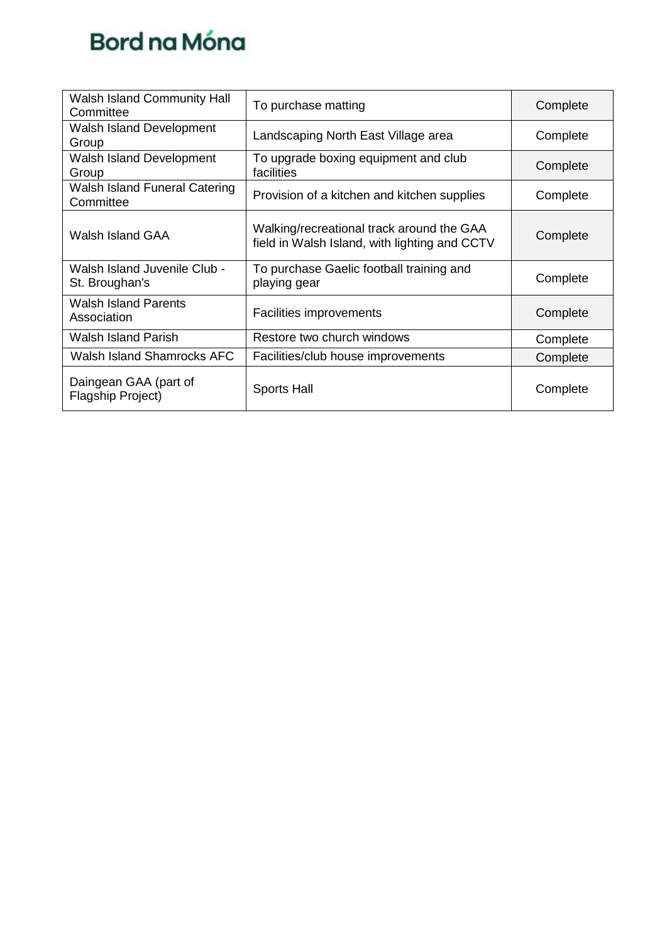

| <b>Walsh Island Community Hall</b><br>Committee | To purchase matting                                                                        | Complete |
|-------------------------------------------------|--------------------------------------------------------------------------------------------|----------|
| Walsh Island Development<br>Group               | Landscaping North East Village area                                                        | Complete |
| Walsh Island Development<br>Group               | To upgrade boxing equipment and club<br>facilities                                         | Complete |
| Walsh Island Funeral Catering<br>Committee      | Provision of a kitchen and kitchen supplies                                                | Complete |
| <b>Walsh Island GAA</b>                         | Walking/recreational track around the GAA<br>field in Walsh Island, with lighting and CCTV | Complete |
| Walsh Island Juvenile Club -<br>St. Broughan's  | To purchase Gaelic football training and<br>playing gear                                   | Complete |
| <b>Walsh Island Parents</b><br>Association      | <b>Facilities improvements</b>                                                             | Complete |
| <b>Walsh Island Parish</b>                      | Restore two church windows                                                                 | Complete |
| <b>Walsh Island Shamrocks AFC</b>               | Facilities/club house improvements                                                         | Complete |
| Daingean GAA (part of<br>Flagship Project)      | <b>Sports Hall</b>                                                                         | Complete |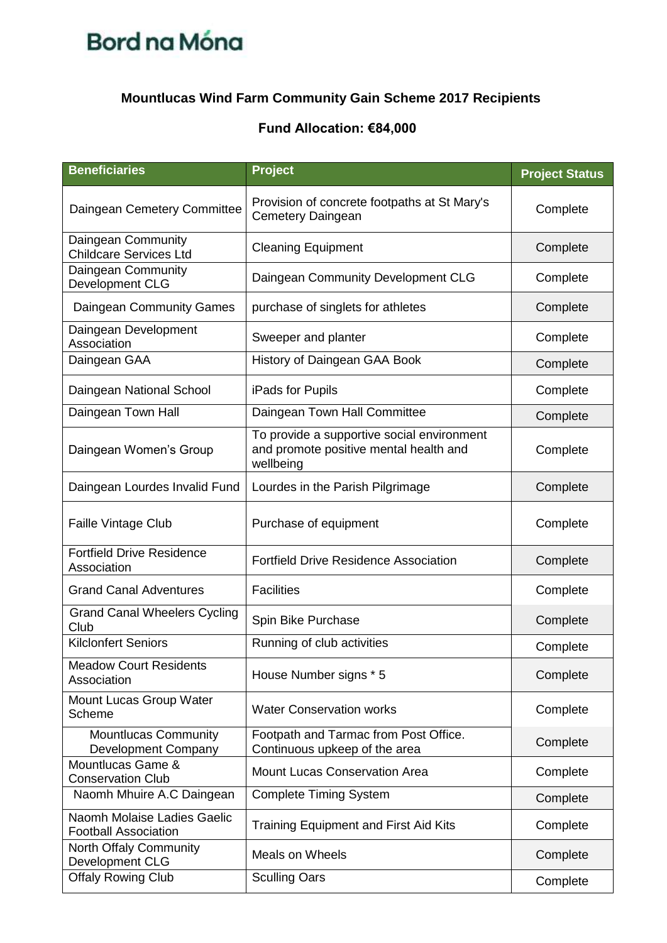## **Mountlucas Wind Farm Community Gain Scheme 2017 Recipients**

| <b>Beneficiaries</b>                                       | <b>Project</b>                                                                                    | <b>Project Status</b> |
|------------------------------------------------------------|---------------------------------------------------------------------------------------------------|-----------------------|
| Daingean Cemetery Committee                                | Provision of concrete footpaths at St Mary's<br><b>Cemetery Daingean</b>                          | Complete              |
| Daingean Community<br><b>Childcare Services Ltd</b>        | <b>Cleaning Equipment</b>                                                                         | Complete              |
| Daingean Community<br>Development CLG                      | Daingean Community Development CLG                                                                | Complete              |
| Daingean Community Games                                   | purchase of singlets for athletes                                                                 | Complete              |
| Daingean Development<br>Association                        | Sweeper and planter                                                                               | Complete              |
| Daingean GAA                                               | History of Daingean GAA Book                                                                      | Complete              |
| Daingean National School                                   | iPads for Pupils                                                                                  | Complete              |
| Daingean Town Hall                                         | Daingean Town Hall Committee                                                                      | Complete              |
| Daingean Women's Group                                     | To provide a supportive social environment<br>and promote positive mental health and<br>wellbeing | Complete              |
| Daingean Lourdes Invalid Fund                              | Lourdes in the Parish Pilgrimage                                                                  | Complete              |
| <b>Faille Vintage Club</b>                                 | Purchase of equipment                                                                             | Complete              |
| <b>Fortfield Drive Residence</b><br>Association            | <b>Fortfield Drive Residence Association</b>                                                      | Complete              |
| <b>Grand Canal Adventures</b>                              | <b>Facilities</b>                                                                                 | Complete              |
| <b>Grand Canal Wheelers Cycling</b><br>Club                | Spin Bike Purchase                                                                                | Complete              |
| <b>Kilclonfert Seniors</b>                                 | Running of club activities                                                                        | Complete              |
| <b>Meadow Court Residents</b><br>Association               | House Number signs * 5                                                                            | Complete              |
| Mount Lucas Group Water<br>Scheme                          | <b>Water Conservation works</b>                                                                   | Complete              |
| <b>Mountlucas Community</b><br>Development Company         | Footpath and Tarmac from Post Office.<br>Continuous upkeep of the area                            | Complete              |
| Mountlucas Game &<br><b>Conservation Club</b>              | <b>Mount Lucas Conservation Area</b>                                                              | Complete              |
| Naomh Mhuire A.C Daingean                                  | <b>Complete Timing System</b>                                                                     | Complete              |
| Naomh Molaise Ladies Gaelic<br><b>Football Association</b> | <b>Training Equipment and First Aid Kits</b>                                                      | Complete              |
| North Offaly Community<br>Development CLG                  | <b>Meals on Wheels</b>                                                                            | Complete              |
| <b>Offaly Rowing Club</b>                                  | <b>Sculling Oars</b>                                                                              | Complete              |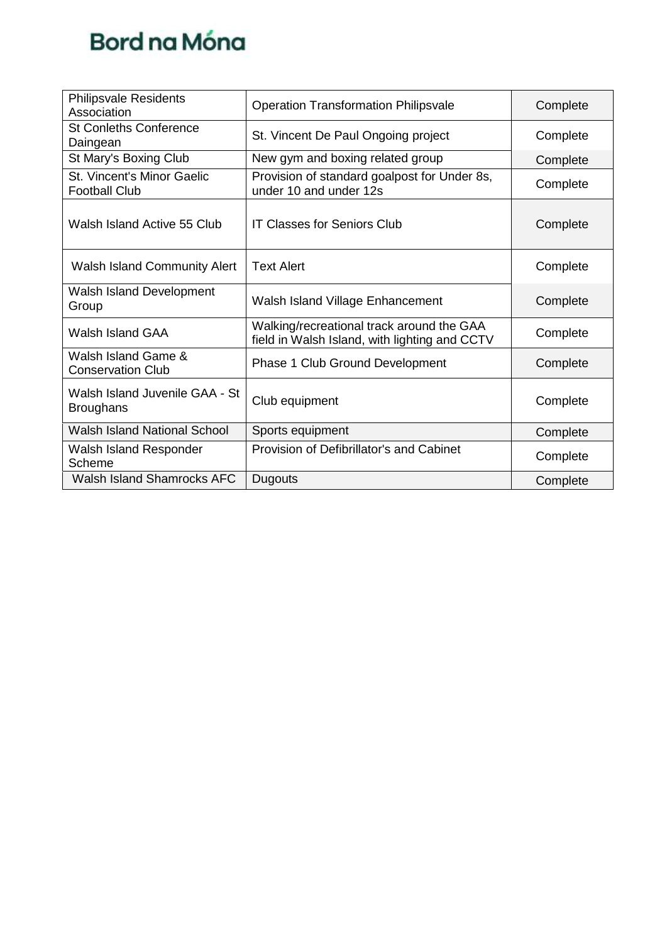| <b>Philipsvale Residents</b><br>Association               | <b>Operation Transformation Philipsvale</b>                                                | Complete |
|-----------------------------------------------------------|--------------------------------------------------------------------------------------------|----------|
| <b>St Conleths Conference</b><br>Daingean                 | St. Vincent De Paul Ongoing project                                                        | Complete |
| St Mary's Boxing Club                                     | New gym and boxing related group                                                           | Complete |
| <b>St. Vincent's Minor Gaelic</b><br><b>Football Club</b> | Provision of standard goalpost for Under 8s,<br>under 10 and under 12s                     | Complete |
| Walsh Island Active 55 Club                               | <b>IT Classes for Seniors Club</b>                                                         | Complete |
| <b>Walsh Island Community Alert</b>                       | <b>Text Alert</b>                                                                          | Complete |
| Walsh Island Development<br>Group                         | Walsh Island Village Enhancement                                                           | Complete |
| Walsh Island GAA                                          | Walking/recreational track around the GAA<br>field in Walsh Island, with lighting and CCTV | Complete |
| Walsh Island Game &<br><b>Conservation Club</b>           | <b>Phase 1 Club Ground Development</b>                                                     | Complete |
| Walsh Island Juvenile GAA - St<br><b>Broughans</b>        | Club equipment                                                                             | Complete |
| <b>Walsh Island National School</b>                       | Sports equipment                                                                           | Complete |
| Walsh Island Responder<br>Scheme                          | Provision of Defibrillator's and Cabinet                                                   | Complete |
| <b>Walsh Island Shamrocks AFC</b>                         | <b>Dugouts</b>                                                                             | Complete |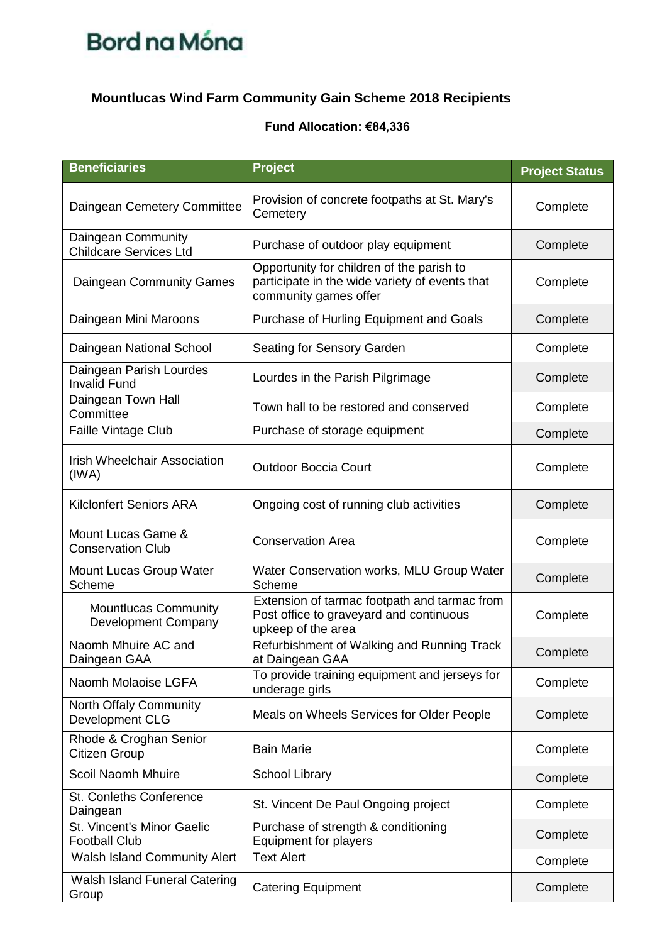## **Mountlucas Wind Farm Community Gain Scheme 2018 Recipients**

| <b>Beneficiaries</b>                                | <b>Project</b>                                                                                                       | <b>Project Status</b> |
|-----------------------------------------------------|----------------------------------------------------------------------------------------------------------------------|-----------------------|
| Daingean Cemetery Committee                         | Provision of concrete footpaths at St. Mary's<br>Cemetery                                                            | Complete              |
| Daingean Community<br><b>Childcare Services Ltd</b> | Purchase of outdoor play equipment                                                                                   | Complete              |
| Daingean Community Games                            | Opportunity for children of the parish to<br>participate in the wide variety of events that<br>community games offer | Complete              |
| Daingean Mini Maroons                               | Purchase of Hurling Equipment and Goals                                                                              | Complete              |
| Daingean National School                            | Seating for Sensory Garden                                                                                           | Complete              |
| Daingean Parish Lourdes<br><b>Invalid Fund</b>      | Lourdes in the Parish Pilgrimage                                                                                     | Complete              |
| Daingean Town Hall<br>Committee                     | Town hall to be restored and conserved                                                                               | Complete              |
| Faille Vintage Club                                 | Purchase of storage equipment                                                                                        | Complete              |
| <b>Irish Wheelchair Association</b><br>(IWA)        | <b>Outdoor Boccia Court</b>                                                                                          | Complete              |
| <b>Kilclonfert Seniors ARA</b>                      | Ongoing cost of running club activities                                                                              | Complete              |
| Mount Lucas Game &<br><b>Conservation Club</b>      | <b>Conservation Area</b>                                                                                             | Complete              |
| Mount Lucas Group Water<br>Scheme                   | Water Conservation works, MLU Group Water<br>Scheme                                                                  | Complete              |
| <b>Mountlucas Community</b><br>Development Company  | Extension of tarmac footpath and tarmac from<br>Post office to graveyard and continuous<br>upkeep of the area        | Complete              |
| Naomh Mhuire AC and<br>Daingean GAA                 | Refurbishment of Walking and Running Track<br>at Daingean GAA                                                        | Complete              |
| Naomh Molaoise LGFA                                 | To provide training equipment and jerseys for<br>underage girls                                                      | Complete              |
| North Offaly Community<br>Development CLG           | Meals on Wheels Services for Older People                                                                            | Complete              |
| Rhode & Croghan Senior<br>Citizen Group             | <b>Bain Marie</b>                                                                                                    | Complete              |
| Scoil Naomh Mhuire                                  | School Library                                                                                                       | Complete              |
| St. Conleths Conference<br>Daingean                 | St. Vincent De Paul Ongoing project                                                                                  | Complete              |
| St. Vincent's Minor Gaelic<br><b>Football Club</b>  | Purchase of strength & conditioning<br>Equipment for players                                                         | Complete              |
| <b>Walsh Island Community Alert</b>                 | <b>Text Alert</b>                                                                                                    | Complete              |
| Walsh Island Funeral Catering<br>Group              | <b>Catering Equipment</b>                                                                                            | Complete              |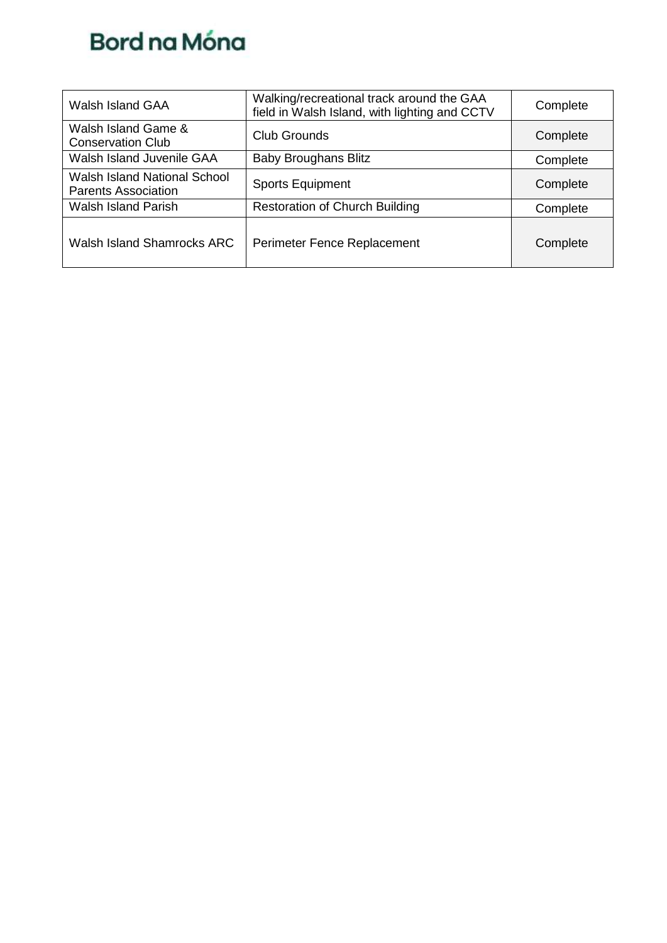| Walsh Island GAA                                           | Walking/recreational track around the GAA<br>field in Walsh Island, with lighting and CCTV | Complete |
|------------------------------------------------------------|--------------------------------------------------------------------------------------------|----------|
| Walsh Island Game &<br><b>Conservation Club</b>            | Club Grounds                                                                               | Complete |
| Walsh Island Juvenile GAA                                  | <b>Baby Broughans Blitz</b>                                                                | Complete |
| Walsh Island National School<br><b>Parents Association</b> | <b>Sports Equipment</b>                                                                    | Complete |
| <b>Walsh Island Parish</b>                                 | <b>Restoration of Church Building</b>                                                      | Complete |
| Walsh Island Shamrocks ARC                                 | Perimeter Fence Replacement                                                                | Complete |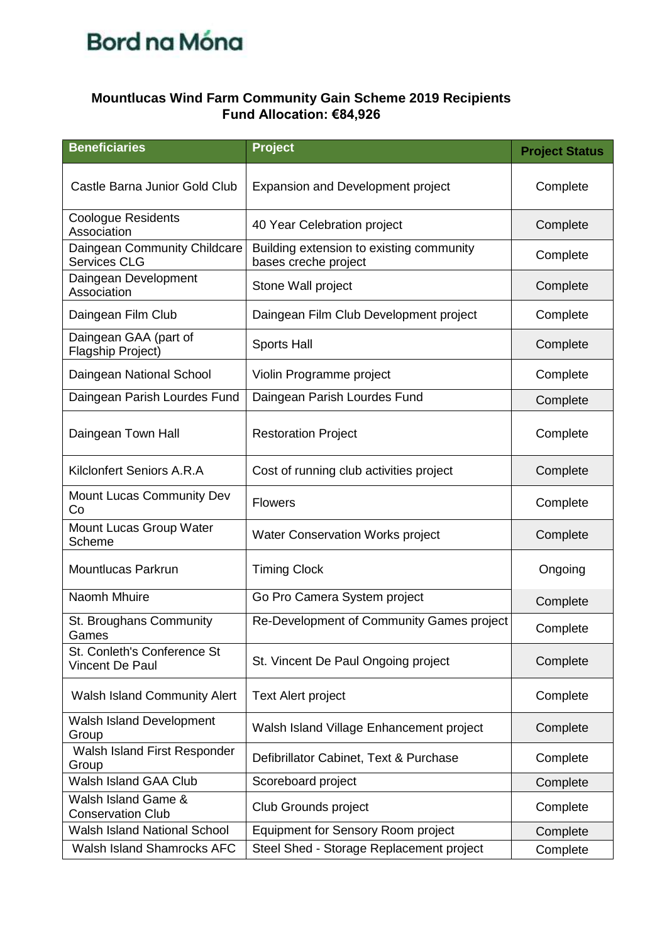### **Mountlucas Wind Farm Community Gain Scheme 2019 Recipients Fund Allocation: €84,926**

| <b>Beneficiaries</b>                                | Project                                                          | <b>Project Status</b> |
|-----------------------------------------------------|------------------------------------------------------------------|-----------------------|
| Castle Barna Junior Gold Club                       | Expansion and Development project                                | Complete              |
| <b>Coologue Residents</b><br>Association            | 40 Year Celebration project                                      | Complete              |
| Daingean Community Childcare<br><b>Services CLG</b> | Building extension to existing community<br>bases creche project | Complete              |
| Daingean Development<br>Association                 | Stone Wall project                                               | Complete              |
| Daingean Film Club                                  | Daingean Film Club Development project                           | Complete              |
| Daingean GAA (part of<br>Flagship Project)          | <b>Sports Hall</b>                                               | Complete              |
| Daingean National School                            | Violin Programme project                                         | Complete              |
| Daingean Parish Lourdes Fund                        | Daingean Parish Lourdes Fund                                     | Complete              |
| Daingean Town Hall                                  | <b>Restoration Project</b>                                       | Complete              |
| Kilclonfert Seniors A.R.A                           | Cost of running club activities project                          | Complete              |
| <b>Mount Lucas Community Dev</b><br>Co              | <b>Flowers</b>                                                   | Complete              |
| Mount Lucas Group Water<br>Scheme                   | <b>Water Conservation Works project</b>                          | Complete              |
| Mountlucas Parkrun                                  | <b>Timing Clock</b>                                              | Ongoing               |
| Naomh Mhuire                                        | Go Pro Camera System project                                     | Complete              |
| St. Broughans Community<br>Games                    | Re-Development of Community Games project                        | Complete              |
| St. Conleth's Conference St<br>Vincent De Paul      | St. Vincent De Paul Ongoing project                              | Complete              |
| <b>Walsh Island Community Alert</b>                 | <b>Text Alert project</b>                                        | Complete              |
| <b>Walsh Island Development</b><br>Group            | Walsh Island Village Enhancement project                         | Complete              |
| Walsh Island First Responder<br>Group               | Defibrillator Cabinet, Text & Purchase                           | Complete              |
| Walsh Island GAA Club                               | Scoreboard project                                               | Complete              |
| Walsh Island Game &<br><b>Conservation Club</b>     | Club Grounds project                                             | Complete              |
| <b>Walsh Island National School</b>                 | <b>Equipment for Sensory Room project</b>                        | Complete              |
| Walsh Island Shamrocks AFC                          | Steel Shed - Storage Replacement project                         | Complete              |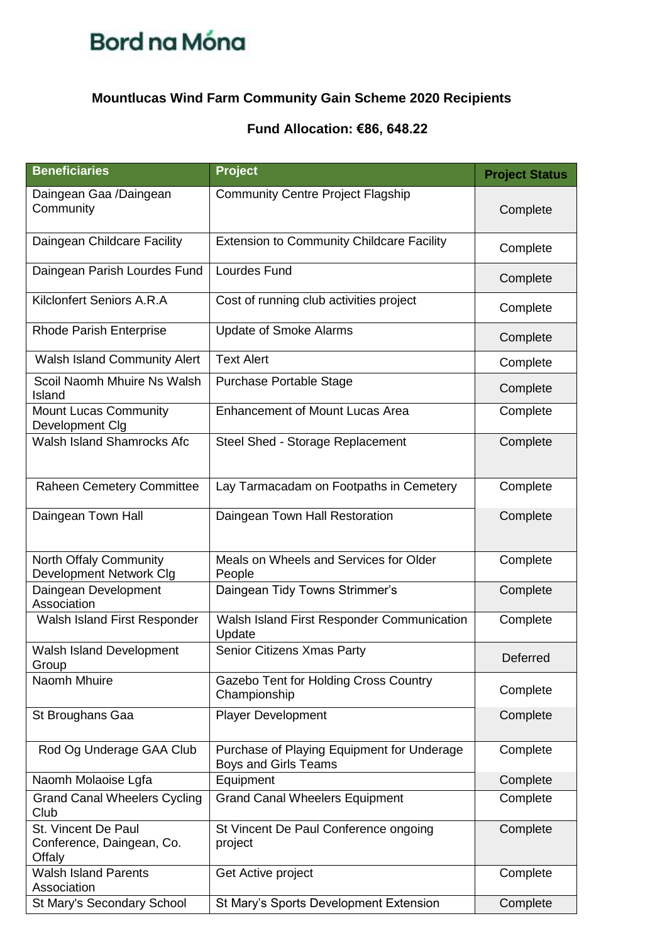

## **Mountlucas Wind Farm Community Gain Scheme 2020 Recipients**

### **Fund Allocation: €86, 648.22**

| <b>Beneficiaries</b>                                       | <b>Project</b>                                                            | <b>Project Status</b> |
|------------------------------------------------------------|---------------------------------------------------------------------------|-----------------------|
| Daingean Gaa /Daingean<br>Community                        | <b>Community Centre Project Flagship</b>                                  | Complete              |
| Daingean Childcare Facility                                | <b>Extension to Community Childcare Facility</b>                          | Complete              |
| Daingean Parish Lourdes Fund                               | Lourdes Fund                                                              | Complete              |
| Kilclonfert Seniors A.R.A                                  | Cost of running club activities project                                   | Complete              |
| <b>Rhode Parish Enterprise</b>                             | <b>Update of Smoke Alarms</b>                                             | Complete              |
| <b>Walsh Island Community Alert</b>                        | <b>Text Alert</b>                                                         | Complete              |
| Scoil Naomh Mhuire Ns Walsh<br>Island                      | Purchase Portable Stage                                                   | Complete              |
| <b>Mount Lucas Community</b><br>Development Clg            | <b>Enhancement of Mount Lucas Area</b>                                    | Complete              |
| <b>Walsh Island Shamrocks Afc</b>                          | Steel Shed - Storage Replacement                                          | Complete              |
| <b>Raheen Cemetery Committee</b>                           | Lay Tarmacadam on Footpaths in Cemetery                                   | Complete              |
| Daingean Town Hall                                         | Daingean Town Hall Restoration                                            | Complete              |
| North Offaly Community<br>Development Network Clg          | Meals on Wheels and Services for Older<br>People                          | Complete              |
| Daingean Development<br>Association                        | Daingean Tidy Towns Strimmer's                                            | Complete              |
| Walsh Island First Responder                               | Walsh Island First Responder Communication<br>Update                      | Complete              |
| Walsh Island Development<br>Group                          | Senior Citizens Xmas Party                                                | Deferred              |
| Naomh Mhuire                                               | Gazebo Tent for Holding Cross Country<br>Championship                     | Complete              |
| St Broughans Gaa                                           | <b>Player Development</b>                                                 | Complete              |
| Rod Og Underage GAA Club                                   | Purchase of Playing Equipment for Underage<br><b>Boys and Girls Teams</b> | Complete              |
| Naomh Molaoise Lgfa                                        | Equipment                                                                 | Complete              |
| <b>Grand Canal Wheelers Cycling</b><br>Club                | <b>Grand Canal Wheelers Equipment</b>                                     | Complete              |
| St. Vincent De Paul<br>Conference, Daingean, Co.<br>Offaly | St Vincent De Paul Conference ongoing<br>project                          | Complete              |
| <b>Walsh Island Parents</b><br>Association                 | Get Active project                                                        | Complete              |
| St Mary's Secondary School                                 | St Mary's Sports Development Extension                                    | Complete              |